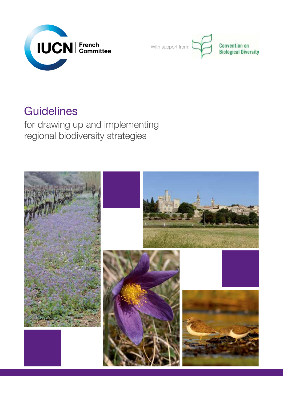



# **Guidelines**

for drawing up and implementing regional biodiversity strategies

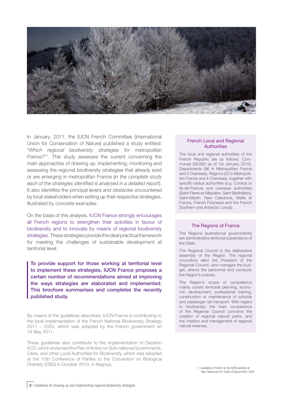

In January, 2011, the IUCN French Committee (International Union for Conservation of Nature) published a study entitled: "*Which regional biodiversity strategies for metropolitan France?*"1 . This study assesses the current concerning the main approaches of drawing up, implementing, monitoring and assessing the regional biodiversity strategies that already exist or are emerging in metropolitan France (*in the complete study each of the strategies identified is analysed in a detailed report*). It also identifies the principal levers and obstacles encountered by local stakeholders when setting up their respective strategies, illustrated by concrete examples.

On the basis of this analysis, IUCN France strongly encourages all French regions to strengthen their activities in favour of biodiversity and to innovate by means of regional biodiversity strategies. These strategies provide the ideal practical framework for meeting the challenges of sustainable development at territorial level.

To provide support for those working at territorial level to implement these strategies, IUCN France proposes a certain number of recommendations aimed at improving the ways strategies are elaborated and implemented. This brochure summarises and completes the recently published study.

By means of the guidelines described, IUCN France is contributing to the local implementation of the French National Biodiversity Strategy 2011 – 2020, which was adopted by the French government on 19 May 2011.

These guidelines also contribute to the implementation of Decision X/22, which endorsed the Plan of Action on Sub-national Governments, Cities, and other Local Authorities for Biodiversity, which was adopted at the 10th Conference of Parties to the Convention on Biological Diversity (CBD) in October 2010, in Nagoya.<br>1 | Available in French on the IUCN website at:

#### French Local and Regional **Authorities**

The local and regional authorities of the French Republic are as follows: Communes (36,682 as of 1st January 2010), Departments (96 in Metropolitan France and 5 Overseas), Regions (22 in Metropolitan France and 4 Overseas), together with specific-status authorities (e.g. Corsica or Ile-de-France) and overseas authorities (Saint-Pierre-et-Miquelon, Saint-Barthélemy, Saint-Martin, New Caledonia, Wallis et Futuna, French Polynesia and the French Southern and Antarctic Lands).

#### The Regions of France

The Regions (subnational governments) are administrative territorial subdivisions of the State.

The Regional Council is the deliberative assembly of the Region. The regional councillors elect the President of the Regional Council, who manages the budget, directs the personnel and conducts the Region's policies.

The Region's scope of competence mainly covers territorial planning, economic development, professional training, construction or maintenance of schools and passenger rail transport. With regard to biodiversity, the main competence of the Regional Council concerns the creation of regional natural parks, and the creation and management of regional natural reserves.

http://www.uicn.fr/-Outils-et-documents-.html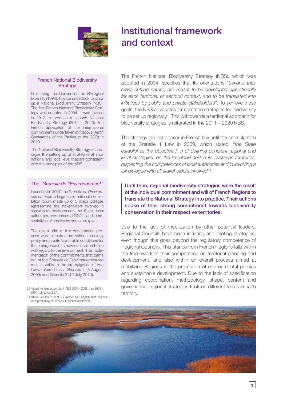

## Institutional framework and context

#### French National Biodiversity **Strategy**

In ratifying the Convention on Biological Diversity (1994), France undertook to draw up a National Biodiversity Strategy (NBS). The first French National Biodiversity Strategy was adopted in 2004. It was revised in 2010 to produce a second National Biodiversity Strategy (2011 - 2020), the French application of the international commitments undertaken at Nagoya (Tenth Conference of the Parties to the CDB) in 2010.

The National Biodiversity Strategy encourages the setting up of strategies at subnational and local level that are consistent with the principles of the NBS.

#### The "*Grenelle de l'Environnement"*

Launched in 2007, the *Grenelle de l'Environnement* was a large-scale national consultation forum made up of 5 major colleges representing the stakeholders involved in sustainable development: the State, local authorities, environmental NGOs, and representatives of employers and employees.

The overall aim of this concertation process was to restructure national ecology policy and create favourable conditions for the emergence of a new national ambition with regard to the environment. The implementation of the commitments that came out of the *Grenelle de l'environnement* led most notably to the promulgation of two laws, referred to as *Grenelle 1* (3 August 2009) and Grenelle 2 (12 July 2010).

2 | Natural Heritage action plan in NBS 2005 – 2008, then 2008 – 2010 (sub-action 2.2.1).

3 | Article 23 in law n°2009-967 (passed on 3 August 2009): calendar for implementing the Grenelle Environmental Project.

The French National Biodiversity Strategy (NBS), which was adopted in 2004, specifies that its orientations "*beyond their cross-cutting nature, are meant to be developed operationally for each territorial or sectoral context, and to be translated into initiatives by public and private stakeholders*". To achieve these goals, the NBS advocates for common strategies for biodiversity to be set up regionally<sup>2</sup>. This will towards a territorial approach for biodiversity strategies is reiterated in the 2011 – 2020 NBS.

The strategy did not appear in French law until the promulgation of the Grenelle 1 Law in 2009, which stated: "*the State establishes the objective […] of defining coherent regional and local strategies, on the mainland and in its overseas territories, respecting the competences of local authorities and in involving a full dialogue with all stakeholders involved*"3 .

Until then, regional biodiversity strategies were the result of the individual commitment and will of French Regions to translate the National Strategy into practice. Their actions spoke of their strong commitment towards biodiversity conservation in their respective territories.

Due to the lack of mobilization by other potential leaders, Regional Councils have been initiating and piloting strategies, even though this goes beyond the regulatory competence of Regional Councils. This stance from French Regions falls within the framework of their competence on territorial planning and development, and also within an overall process aimed at mobilizing Regions in the promotion of environmental policies and sustainable development. Due to the lack of specification regarding coordination, methodology, shape, content and governance, regional strategies took on different forms in each territory.

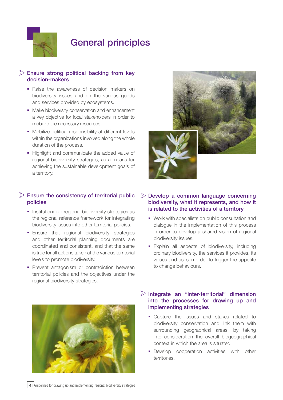

## General principles

### $\triangleright$  Ensure strong political backing from key decision-makers

- Raise the awareness of decision makers on biodiversity issues and on the various goods and services provided by ecosystems.
- Make biodiversity conservation and enhancement a key objective for local stakeholders in order to mobilize the necessary resources.
- Mobilize political responsibility at different levels within the organizations involved along the whole duration of the process.
- Highlight and communicate the added value of regional biodiversity strategies, as a means for achieving the sustainable development goals of a territory.

### $\triangleright$  Ensure the consistency of territorial public policies

- **Institutionalize regional biodiversity strategies as** the regional reference framework for integrating biodiversity issues into other territorial policies.
- **Ensure that regional biodiversity strategies** and other territorial planning documents are coordinated and consistent, and that the same is true for all actions taken at the various territorial levels to promote biodiversity.
- **Prevent antagonism or contradiction between** territorial policies and the objectives under the regional biodiversity strategies.



#### $\triangleright$  Develop a common language concerning biodiversity, what it represents, and how it is related to the activities of a territory

- Work with specialists on public consultation and dialogue in the implementation of this process in order to develop a shared vision of regional biodiversity issues.
- **Explain all aspects of biodiversity, including** ordinary biodiversity, the services it provides, its values and uses in order to trigger the appetite to change behaviours.

### $\triangleright$  Integrate an "inter-territorial" dimension into the processes for drawing up and implementing strategies

- Capture the issues and stakes related to biodiversity conservation and link them with surrounding geographical areas, by taking into consideration the overall biogeographical context in which the area is situated.
- **•** Develop cooperation activities with other territories.

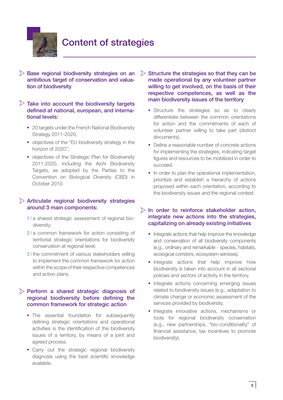

 $\triangleright$  Base regional biodiversity strategies on an ambitious target of conservation and valuation of biodiversity

### $\triangleright$  Take into account the biodiversity targets defined at national, european, and international levels:

- 20 targets under the French National Biodiversity Strategy 2011-2020;
- objectives of the "EU biodiversity strategy in the horizon of 2020";
- **objectives of the Strategic Plan for Biodiversity** 2011-2020, including the Aichi Biodiversity Targets, as adopted by the Parties to the Convention on Biological Diversity (CBD) in October 2010.

#### $\triangleright$  Articulate regional biodiversity strategies around 3 main components:

- 1 | a shared strategic assessment of regional biodiversity;
- 2 a common framework for action consisting of territorial strategic orientations for biodiversity conservation at regional level;
- **3** I the commitment of various stakeholders willing to implement the common framework for action within the scope of their respective competences and action plans.

### $\triangleright$  Perform a shared strategic diagnosis of regional biodiversity before defining the common framework for strategic action

- The essential foundation for subsequently defining strategic orientations and operational activities is the identification of the biodiversity issues of a territory, by means of a joint and agreed process.
- **Carry out the strategic regional biodiversity** diagnosis using the best scientific knowledge available.
- $\triangleright$  Structure the strategies so that they can be made operational by any volunteer partner willing to get involved, on the basis of their respective competences, as well as the main biodiversity issues of the territory
	- **Structure the strategies so as to clearly** differentiate between the common orientations for action and the commitments of each of volunteer partner willing to take part (distinct documents).
	- Define a reasonable number of concrete actions for implementing the strategies, indicating target figures and resources to be mobilized in order to succeed.
	- In order to plan the operational implementation, prioritize and establish a hierarchy of actions proposed within each orientation, according to the biodiversity issues and the regional context.

#### $\triangleright$  In order to reinforce stakeholder action. integrate new actions into the strategies, capitalizing on already existing initiatives

- **Integrate actions that help improve the knowledge** and conservation of all biodiversity components (e.g., ordinary and remarkable - species, habitats, ecological corridors, ecosystem services).
- **Integrate actions that help improve how** biodiversity is taken into account in all sectorial policies and sectors of activity in the territory.
- **Integrate actions concerning emerging issues** related to biodiversity issues (e.g., adaptation to climate change or economic assessment of the services provided by biodiversity.
- **Integrate innovative actions, mechanisms or** tools for regional biodiversity conservation (e.g., new partnerships, "bio-conditionality" of financial assistance, tax incentives to promote biodiversity).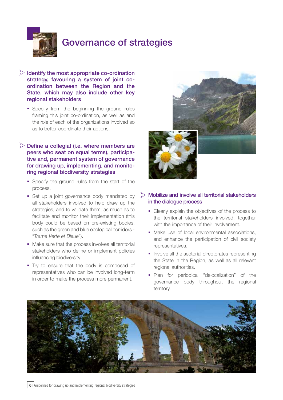

## Governance of strategies

- $\triangleright$  Identify the most appropriate co-ordination strategy, favouring a system of joint coordination between the Region and the State, which may also include other key regional stakeholders
	- **Specify from the beginning the ground rules** framing this joint co-ordination, as well as and the role of each of the organizations involved so as to better coordinate their actions.

#### $\triangleright$  Define a collegial (i.e. where members are peers who seat on equal terms), participative and, permanent system of governance for drawing up, implementing, and monitoring regional biodiversity strategies

- **Specify the ground rules from the start of the** process.
- Set up a joint governance body mandated by all stakeholders involved to help draw up the strategies, and to validate them, as much as to facilitate and monitor their implementation (this body could be based on pre-existing bodies, such as the green and blue ecological corridors - "*Trame Verte et Bleue*").
- Make sure that the process involves all territorial stakeholders who define or implement policies influencing biodiversity.
- Try to ensure that the body is composed of representatives who can be involved long-term in order to make the process more permanent.



#### $\triangleright$  Mobilize and involve all territorial stakeholders in the dialogue process

- Clearly explain the objectives of the process to the territorial stakeholders involved, together with the importance of their involvement.
- Make use of local environmental associations, and enhance the participation of civil society representatives.
- **Involve all the sectorial directorates representing** the State in the Region, as well as all relevant regional authorities.
- **Plan** for periodical "delocalization" of the governance body throughout the regional territory.

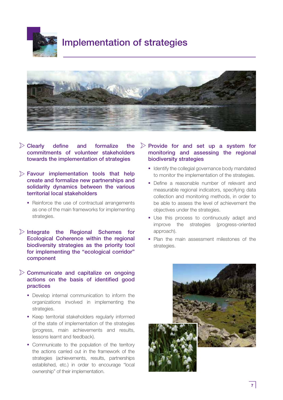

## Implementation of strategies



- $\triangleright$  Clearly define and formalize the commitments of volunteer stakeholders towards the implementation of strategies
- $\triangleright$  Favour implementation tools that help create and formalize new partnerships and solidarity dynamics between the various territorial local stakeholders
	- Reinforce the use of contractual arrangements as one of the main frameworks for implementing strategies.
- $\triangleright$  Integrate the Regional Schemes for Ecological Coherence within the regional biodiversity strategies as the priority tool for implementing the "ecological corridor" component

#### $\triangleright$  Communicate and capitalize on ongoing actions on the basis of identified good practices

- **•** Develop internal communication to inform the organizations involved in implementing the strategies.
- Keep territorial stakeholders regularly informed of the state of implementation of the strategies (progress, main achievements and results, lessons learnt and feedback).
- Communicate to the population of the territory the actions carried out in the framework of the strategies (achievements, results, partnerships established, etc.) in order to encourage "local ownership" of their implementation.

### $\triangleright$  Provide for and set up a system for monitoring and assessing the regional biodiversity strategies

- I Identify the collegial governance body mandated to monitor the implementation of the strategies.
- Define a reasonable number of relevant and measurable regional indicators, specifying data collection and monitoring methods, in order to be able to assess the level of achievement the objectives under the strategies.
- Use this process to continuously adapt and improve the strategies (progress-oriented approach).
- **Plan the main assessment milestones of the** strategies.